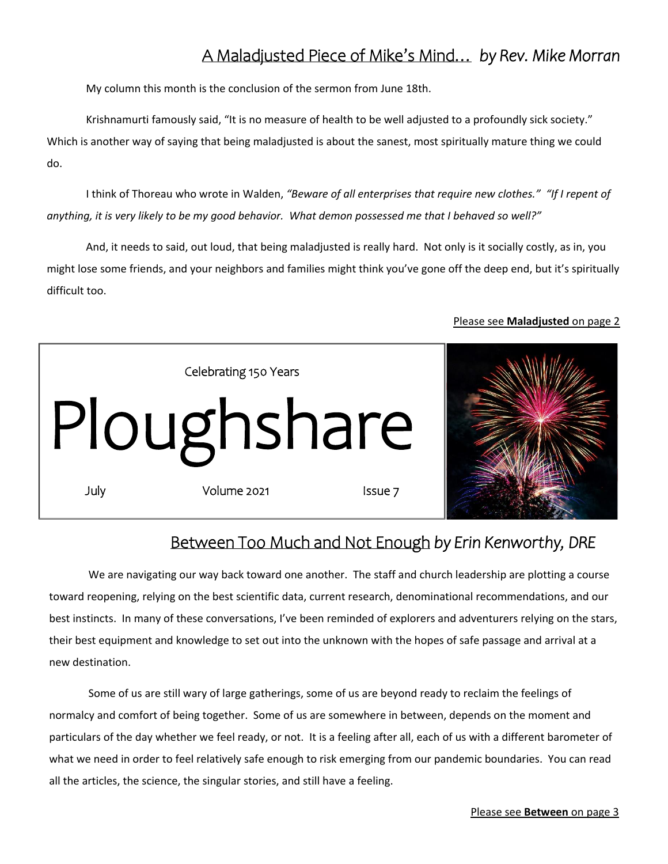## A Maladjusted Piece of Mike's Mind… *by Rev. Mike Morran*

My column this month is the conclusion of the sermon from June 18th.

Krishnamurti famously said, "It is no measure of health to be well adjusted to a profoundly sick society." Which is another way of saying that being maladjusted is about the sanest, most spiritually mature thing we could do.

I think of Thoreau who wrote in Walden, *"Beware of all enterprises that require new clothes." "If I repent of anything, it is very likely to be my good behavior. What demon possessed me that I behaved so well?"*

And, it needs to said, out loud, that being maladjusted is really hard. Not only is it socially costly, as in, you might lose some friends, and your neighbors and families might think you've gone off the deep end, but it's spiritually difficult too.

### Please see **Maladjusted** on page 2



### Between Too Much and Not Enough *by Erin Kenworthy, DRE*

We are navigating our way back toward one another. The staff and church leadership are plotting a course toward reopening, relying on the best scientific data, current research, denominational recommendations, and our best instincts. In many of these conversations, I've been reminded of explorers and adventurers relying on the stars, their best equipment and knowledge to set out into the unknown with the hopes of safe passage and arrival at a new destination.

Some of us are still wary of large gatherings, some of us are beyond ready to reclaim the feelings of normalcy and comfort of being together. Some of us are somewhere in between, depends on the moment and particulars of the day whether we feel ready, or not. It is a feeling after all, each of us with a different barometer of what we need in order to feel relatively safe enough to risk emerging from our pandemic boundaries. You can read all the articles, the science, the singular stories, and still have a feeling.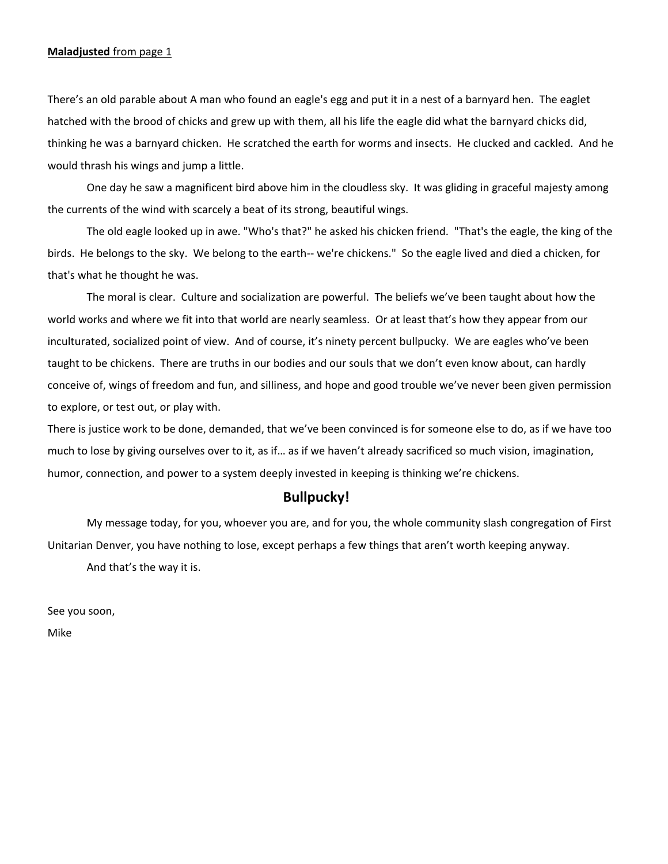#### **Maladjusted** from page 1

There's an old parable about A man who found an eagle's egg and put it in a nest of a barnyard hen. The eaglet hatched with the brood of chicks and grew up with them, all his life the eagle did what the barnyard chicks did, thinking he was a barnyard chicken. He scratched the earth for worms and insects. He clucked and cackled. And he would thrash his wings and jump a little.

 One day he saw a magnificent bird above him in the cloudless sky. It was gliding in graceful majesty among the currents of the wind with scarcely a beat of its strong, beautiful wings.

 The old eagle looked up in awe. "Who's that?" he asked his chicken friend. "That's the eagle, the king of the birds. He belongs to the sky. We belong to the earth-- we're chickens." So the eagle lived and died a chicken, for that's what he thought he was.

 The moral is clear. Culture and socialization are powerful. The beliefs we've been taught about how the world works and where we fit into that world are nearly seamless. Or at least that's how they appear from our inculturated, socialized point of view. And of course, it's ninety percent bullpucky. We are eagles who've been taught to be chickens. There are truths in our bodies and our souls that we don't even know about, can hardly conceive of, wings of freedom and fun, and silliness, and hope and good trouble we've never been given permission to explore, or test out, or play with.

There is justice work to be done, demanded, that we've been convinced is for someone else to do, as if we have too much to lose by giving ourselves over to it, as if… as if we haven't already sacrificed so much vision, imagination, humor, connection, and power to a system deeply invested in keeping is thinking we're chickens.

### **Bullpucky!**

My message today, for you, whoever you are, and for you, the whole community slash congregation of First Unitarian Denver, you have nothing to lose, except perhaps a few things that aren't worth keeping anyway. And that's the way it is.

See you soon,

Mike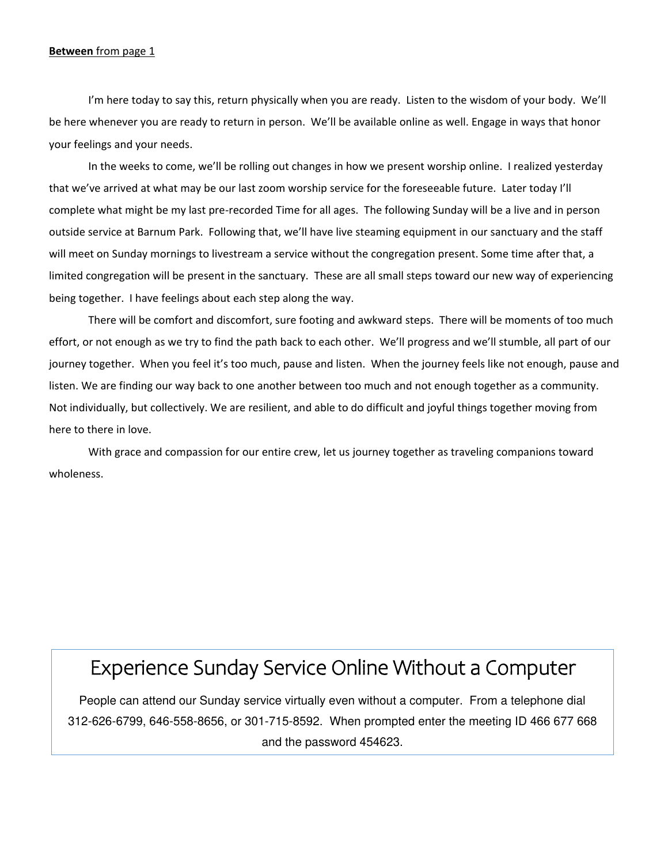#### **Between** from page 1

I'm here today to say this, return physically when you are ready. Listen to the wisdom of your body. We'll be here whenever you are ready to return in person. We'll be available online as well. Engage in ways that honor your feelings and your needs.

In the weeks to come, we'll be rolling out changes in how we present worship online. I realized yesterday that we've arrived at what may be our last zoom worship service for the foreseeable future. Later today I'll complete what might be my last pre-recorded Time for all ages. The following Sunday will be a live and in person outside service at Barnum Park. Following that, we'll have live steaming equipment in our sanctuary and the staff will meet on Sunday mornings to livestream a service without the congregation present. Some time after that, a limited congregation will be present in the sanctuary. These are all small steps toward our new way of experiencing being together. I have feelings about each step along the way.

There will be comfort and discomfort, sure footing and awkward steps. There will be moments of too much effort, or not enough as we try to find the path back to each other. We'll progress and we'll stumble, all part of our journey together. When you feel it's too much, pause and listen. When the journey feels like not enough, pause and listen. We are finding our way back to one another between too much and not enough together as a community. Not individually, but collectively. We are resilient, and able to do difficult and joyful things together moving from here to there in love.

With grace and compassion for our entire crew, let us journey together as traveling companions toward wholeness.

# Experience Sunday Service Online Without a Computer

People can attend our Sunday service virtually even without a computer. From a telephone dial 312-626-6799, 646-558-8656, or 301-715-8592. When prompted enter the meeting ID 466 677 668 and the password 454623.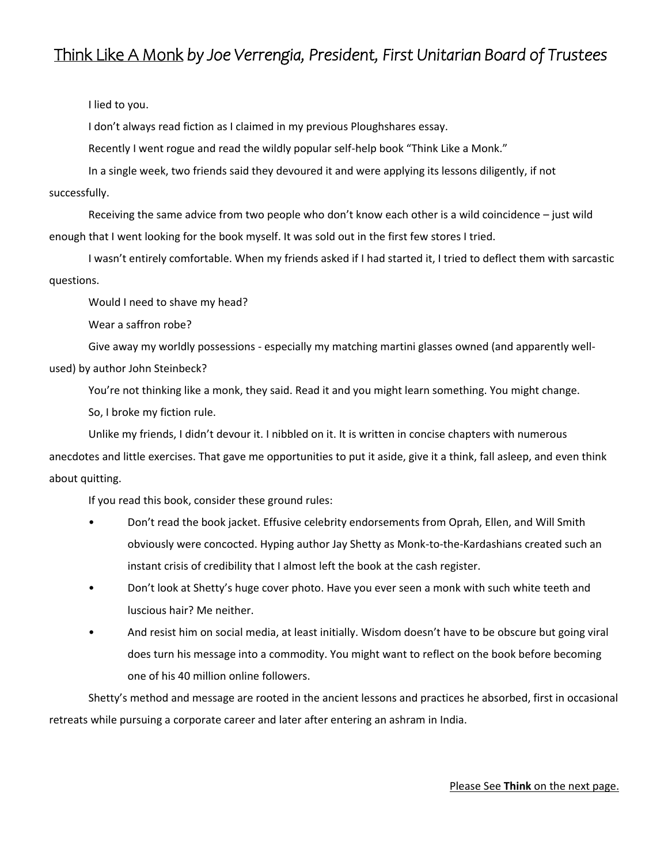## Think Like A Monk *by Joe Verrengia, President, First Unitarian Board of Trustees*

### I lied to you.

I don't always read fiction as I claimed in my previous Ploughshares essay.

Recently I went rogue and read the wildly popular self-help book "Think Like a Monk."

In a single week, two friends said they devoured it and were applying its lessons diligently, if not

### successfully.

Receiving the same advice from two people who don't know each other is a wild coincidence – just wild enough that I went looking for the book myself. It was sold out in the first few stores I tried.

I wasn't entirely comfortable. When my friends asked if I had started it, I tried to deflect them with sarcastic questions.

Would I need to shave my head?

Wear a saffron robe?

Give away my worldly possessions - especially my matching martini glasses owned (and apparently well-

used) by author John Steinbeck?

You're not thinking like a monk, they said. Read it and you might learn something. You might change.

So, I broke my fiction rule.

Unlike my friends, I didn't devour it. I nibbled on it. It is written in concise chapters with numerous anecdotes and little exercises. That gave me opportunities to put it aside, give it a think, fall asleep, and even think about quitting.

If you read this book, consider these ground rules:

- Don't read the book jacket. Effusive celebrity endorsements from Oprah, Ellen, and Will Smith obviously were concocted. Hyping author Jay Shetty as Monk-to-the-Kardashians created such an instant crisis of credibility that I almost left the book at the cash register.
- Don't look at Shetty's huge cover photo. Have you ever seen a monk with such white teeth and luscious hair? Me neither.
- And resist him on social media, at least initially. Wisdom doesn't have to be obscure but going viral does turn his message into a commodity. You might want to reflect on the book before becoming one of his 40 million online followers.

Shetty's method and message are rooted in the ancient lessons and practices he absorbed, first in occasional retreats while pursuing a corporate career and later after entering an ashram in India.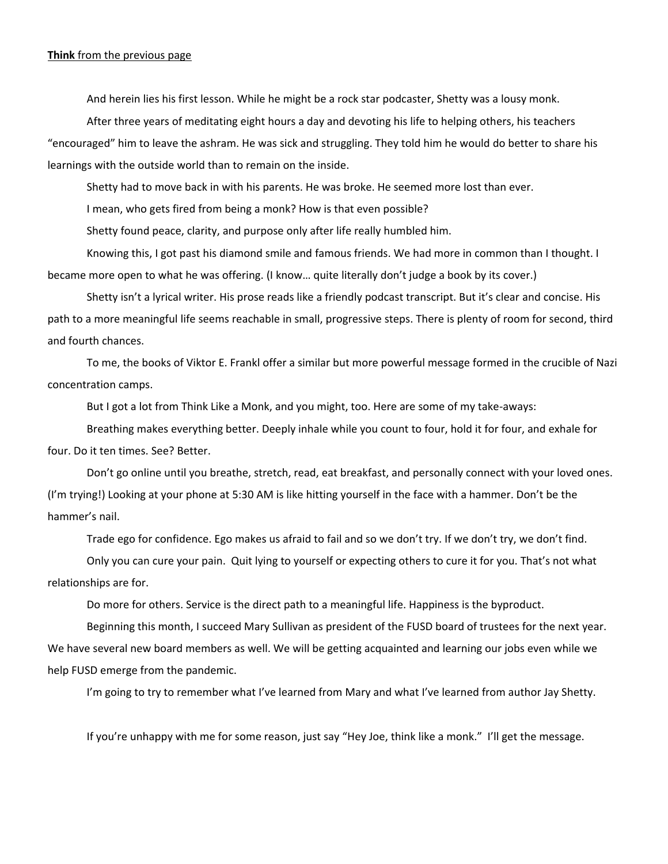#### **Think** from the previous page

And herein lies his first lesson. While he might be a rock star podcaster, Shetty was a lousy monk.

After three years of meditating eight hours a day and devoting his life to helping others, his teachers "encouraged" him to leave the ashram. He was sick and struggling. They told him he would do better to share his learnings with the outside world than to remain on the inside.

Shetty had to move back in with his parents. He was broke. He seemed more lost than ever.

I mean, who gets fired from being a monk? How is that even possible?

Shetty found peace, clarity, and purpose only after life really humbled him.

Knowing this, I got past his diamond smile and famous friends. We had more in common than I thought. I became more open to what he was offering. (I know… quite literally don't judge a book by its cover.)

Shetty isn't a lyrical writer. His prose reads like a friendly podcast transcript. But it's clear and concise. His path to a more meaningful life seems reachable in small, progressive steps. There is plenty of room for second, third and fourth chances.

To me, the books of Viktor E. Frankl offer a similar but more powerful message formed in the crucible of Nazi concentration camps.

But I got a lot from Think Like a Monk, and you might, too. Here are some of my take-aways:

Breathing makes everything better. Deeply inhale while you count to four, hold it for four, and exhale for four. Do it ten times. See? Better.

Don't go online until you breathe, stretch, read, eat breakfast, and personally connect with your loved ones. (I'm trying!) Looking at your phone at 5:30 AM is like hitting yourself in the face with a hammer. Don't be the hammer's nail.

Trade ego for confidence. Ego makes us afraid to fail and so we don't try. If we don't try, we don't find.

Only you can cure your pain. Quit lying to yourself or expecting others to cure it for you. That's not what relationships are for.

Do more for others. Service is the direct path to a meaningful life. Happiness is the byproduct.

Beginning this month, I succeed Mary Sullivan as president of the FUSD board of trustees for the next year. We have several new board members as well. We will be getting acquainted and learning our jobs even while we help FUSD emerge from the pandemic.

I'm going to try to remember what I've learned from Mary and what I've learned from author Jay Shetty.

If you're unhappy with me for some reason, just say "Hey Joe, think like a monk." I'll get the message.